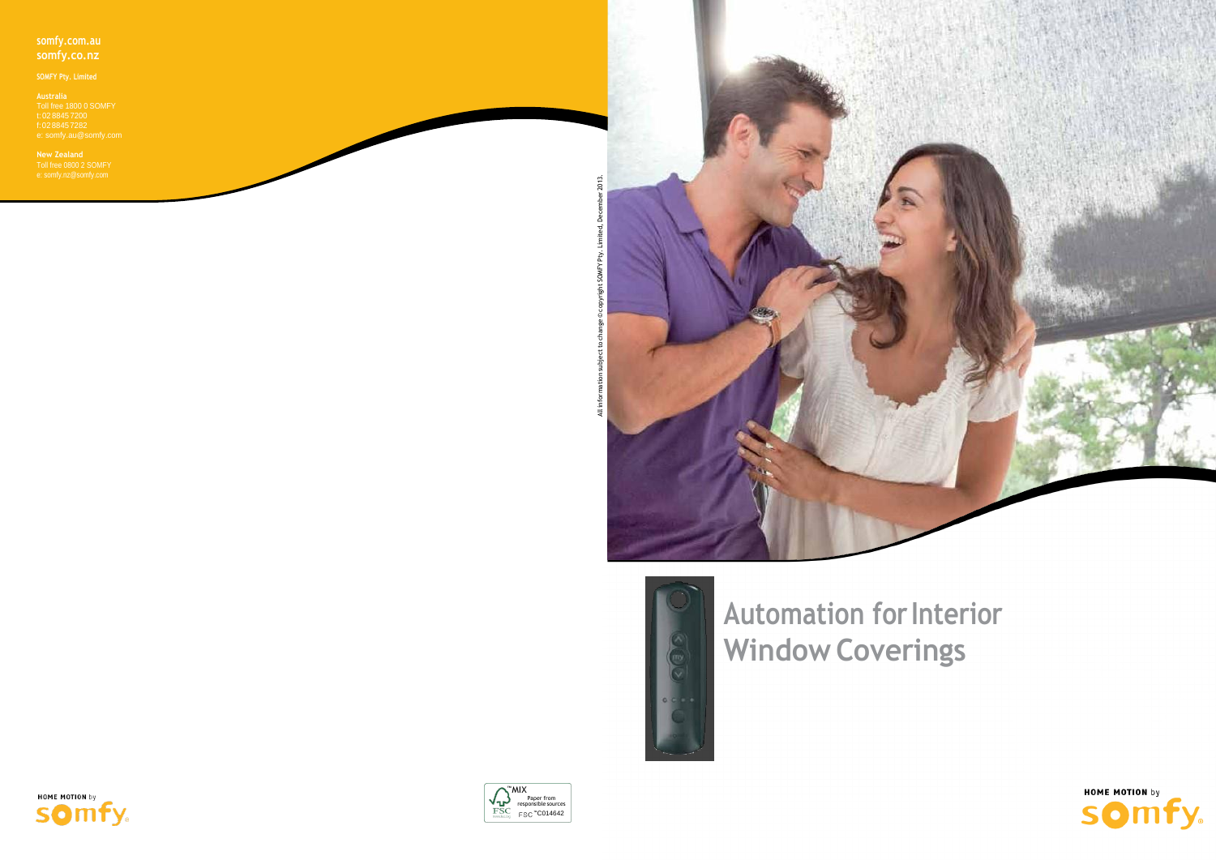### **somfy.com.au somfy.co.nz**

Toll free 1800 0 SOMFY t: 02 8845 7200 f:02 8845 7282

**New Zealand** Toll free 0800 2 SOMFY e[: somfy.nz@somfy.com](mailto:somfy.nz@somfy.com)

> **Automation for Interior Window Coverings**











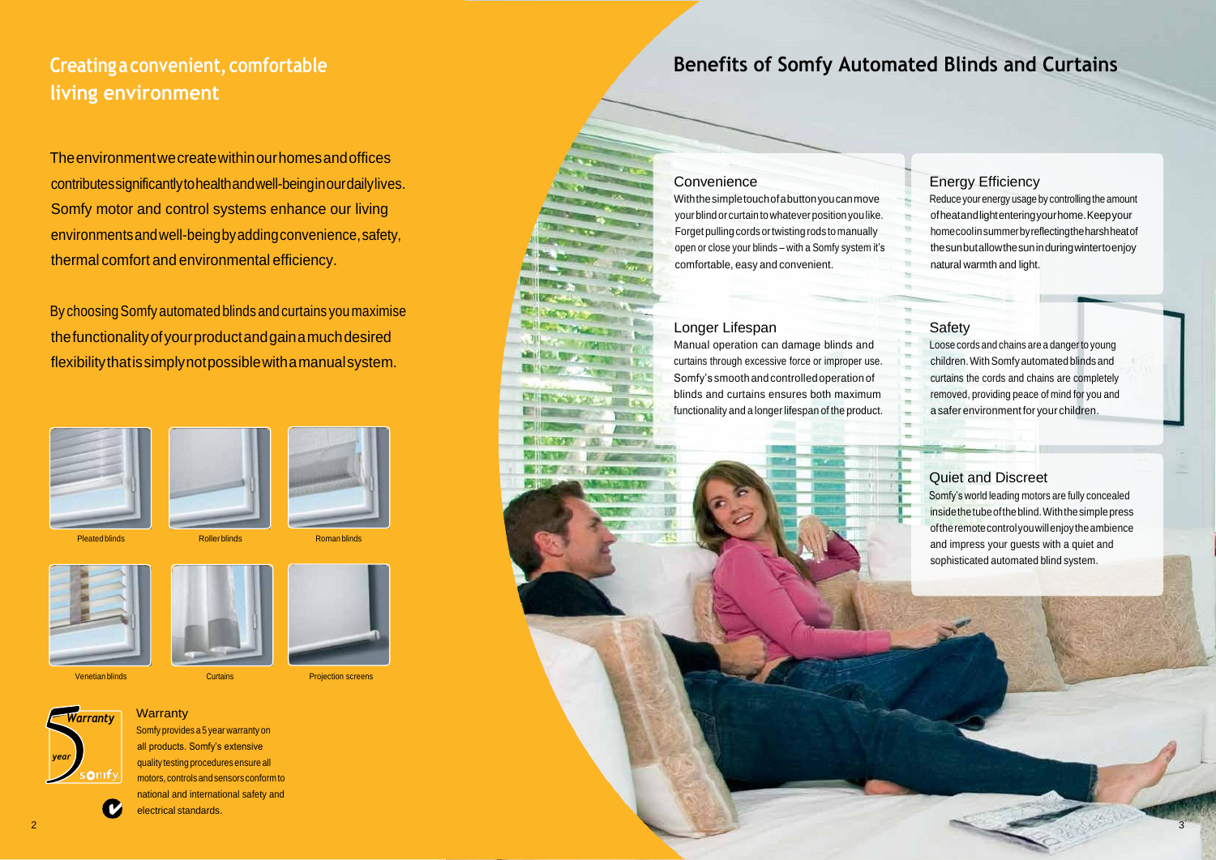# **Creatingaconvenient, comfortable living environment**

# **Benefits of Somfy Automated Blinds and Curtains**

### **Convenience**

Theenvironmentwecreatewithinourhomesandoffices contributessignificantlytohealthandwell-beinginourdailylives. Somfy motor and control systems enhance our living environmentsandwell-beingbyaddingconvenience,safety, thermal comfort and environmental efficiency.

By choosingSomfy automated blinds and curtains you maximise thefunctionalityofyourproductandgainamuchdesired flexibilitythatissimplynotpossiblewithamanualsystem.





Pleated blinds **Roller blinds** Roller Roller Blinds Roman blinds

**Warranty** 

Reduce your energy usage by controlling the amount ofheatandlightenteringyourhome.Keepyour homecoolinsummerbyreflectingtheharshheatof thesunbutallowthesuninduringwintertoenjoy natural warmth and light.

Withthesimpletouchofabuttonyoucanmove your blind orcurtaintowhateverpositionyoulike. Forget pulling cords ortwisting rods tomanually open or close your blinds – with a Somfy system it's comfortable, easy and convenient.

### Longer Lifespan

Manual operation can damage blinds and curtains through excessive force or improper use. Somfy's smooth andcontrolledoperationof blinds and curtains ensures both maximum functionality and a longer lifespan of the product.



## Energy Efficiency

### Safety

Loose cords and chains are a dangerto young children. With Somfy automated blinds and curtains the cords and chains are completely removed, providing peace of mind for you and a safer environment for your children.

### Quiet and Discreet

Somfy's world leading motors are fully concealed insidethetubeoftheblind.Withthesimplepress oftheremotecontrolyouwillenjoytheambience and impress your guests with a quiet and sophisticated automated blind system.





Somfy provides a 5 year warranty on all products. Somfy's extensive quality testing procedures ensure all motors, controls and sensors conform to national and international safety and



electrical standards.

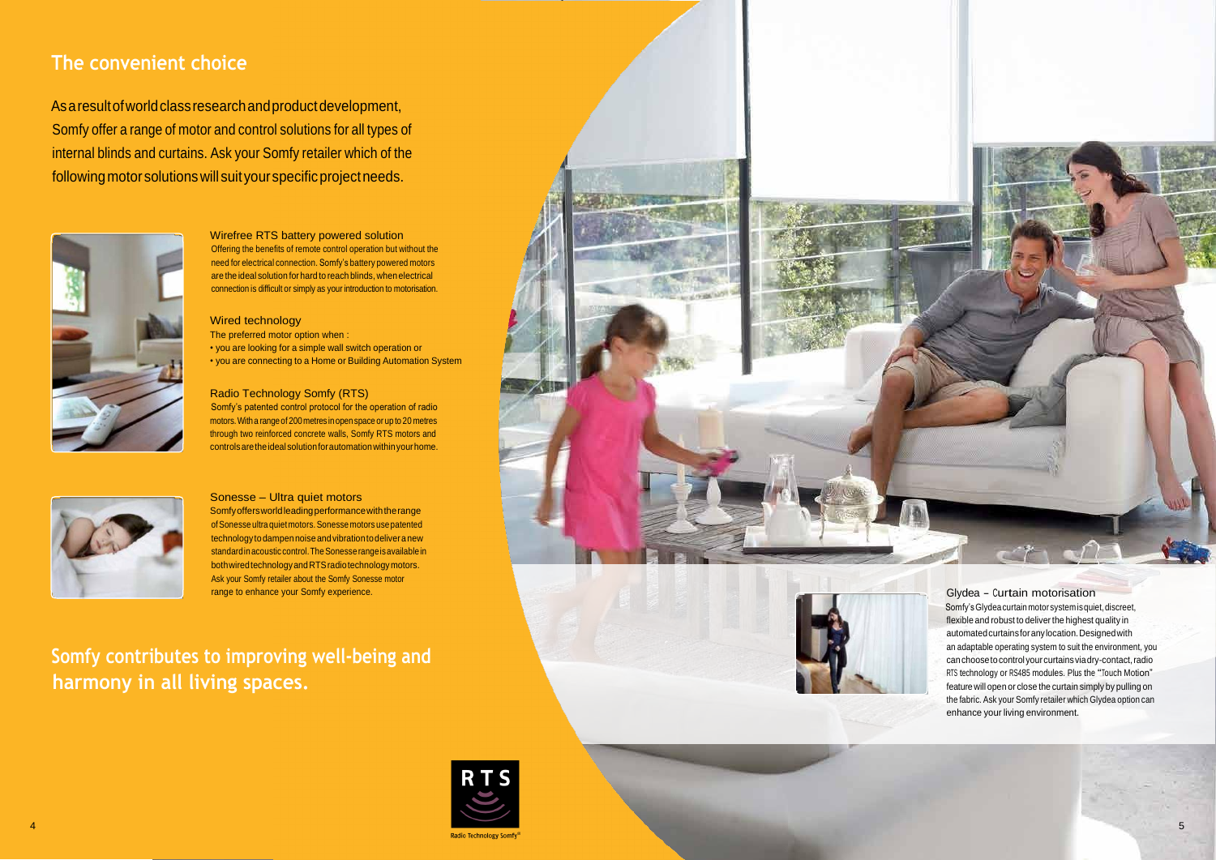# **The convenient choice**

Asaresultofworldclassresearchandproductdevelopment, Somfy offer a range of motor and control solutions for all types of internal blinds and curtains. Ask your Somfy retailer which of the followingmotorsolutionswill suityourspecificprojectneeds.



Wirefree RTS battery powered solution Offering the benefits of remote control operation but without the need for electrical connection. Somfy's battery powered motors are the ideal solution for hard to reach blinds, when electrical connection is difficult or simply as your introduction to motorisation.

#### Wired technology

The preferred motor option when :

• you are looking for a simple wall switch operation or • you are connecting to a Home or Building Automation System

### Radio Technology Somfy (RTS)

Somfy's patented control protocol for the operation of radio motors.Witha rangeof 200 metres inopenspace or up to 20 metres through two reinforced concrete walls, Somfy RTS motors and controlsaretheidealsolutionforautomationwithinyourhome.



Somfy's Glydea curtain motor system is quiet, discreet, flexible and robust to deliver the highest quality in automatedcurtainsforanylocation.Designedwith an adaptable operating system to suit the environment, you can choose to control your curtains via dry-contact, radio RTS technology or RS485 modules. Plus the "Touch Motion" feature will open or close the curtain simply by pulling on the fabric. Ask your Somfy retailer which Glydea option can enhance your living environment.

 $\mathbb{C}^r \setminus \mathbb{C}^r$ 

#### Sonesse – Ultra quiet motors

Somfyoffersworldleadingperformancewiththerange of Sonesse ultra quiet motors. Sonesse motors use patented technology to dampen noise and vibration to deliver a new standard in acoustic control. The Sonesse range is available in bothwiredtechnologyandRTSradiotechnologymotors. Ask your Somfy retailer about the Somfy Sonesse motor range to enhance your Somfy experience.

**Somfy contributes to improving well-being and harmony in all living spaces.**



#### Glydea - Curtain motorisation